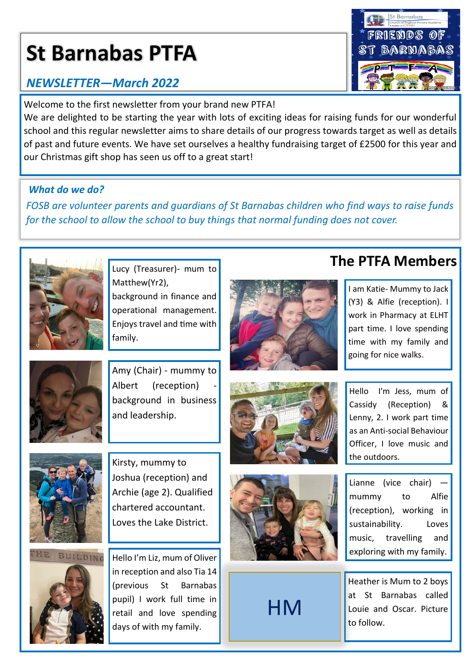# **St Barnabas PTFA**

## *NEWSLETTER—March 2022*

Welcome to the first newsletter from your brand new PTFA!

We are delighted to be starting the year with lots of exciting ideas for raising funds for our wonderful school and this regular newsletter aims to share details of our progress towards target as well as details of past and future events. We have set ourselves a healthy fundraising target of £2500 for this year and our Christmas gift shop has seen us off to a great start!

#### *What do we do?*

*FOSB are volunteer parents and guardians of St Barnabas children who find ways to raise funds for the school to allow the school to buy things that normal funding does not cover.* 



Matthew(Yr2), background in finance and operational management. Enjoys travel and time with family.



Amy (Chair) - mummy to Albert (reception) background in business and leadership.



Kirsty, mummy to Joshua (reception) and Archie (age 2). Qualified chartered accountant. Loves the Lake District.



Hello I'm Liz, mum of Oliver in reception and also Tia 14 (previous St Barnabas pupil) I work full time in retail and love spending days of with my family.







**HM** 

**The PTFA Members** Lucy (Treasurer)- mum to

I am Katie- Mummy to Jack (Y3) & Alfie (reception). I work in Pharmacy at ELHT part time. I love spending time with my family and going for nice walks.

Hello I'm Jess, mum of Cassidy (Reception) & Lenny, 2. I work part time as an Anti-social Behaviour Officer, I love music and the outdoors.

Lianne (vice chair) mummy to Alfie (reception), working in sustainability. Loves music, travelling and exploring with my family.

Heather is Mum to 2 boys at St Barnabas called Louie and Oscar. Picture to follow.